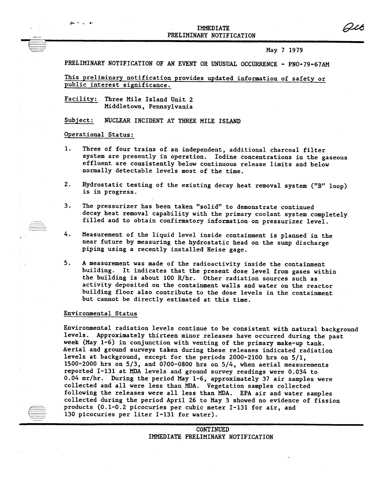

May 7 1979

Qib

PRELIMINARY NOTIFICATION OF AN EVENT OR UNUSUAL OCCURRENCE - PNO-79-67AM

This preliminary notification provides updated information of safety or public interest significance.

Facility: Three Mile Island Unit 2 Middletown, Pennsylvania

Subject: NUCLEAR INCIDENT AT THREE MILE ISLAND

## Operational Status:

الهاري والمنعقر

- 1. Three of four trains of an independent, additional charcoal filter system are presently in operation. Iodine concentrations in the gaseous effluent are consistently below continuous release limits and below normally detectable levels most of the time.
- 2. Hydrostatic testing of the existing decay heat removal system ("B" loop) is in progress.
- 3. The pressurizer has been taken "solid" to demonstrate continued decay heat removal capability with the primary coolant system completely filled and to obtain confirmatory information on pressurizer level.
- 4. Measurement of the liquid level inside containment is planned in the near future by measuring the hydrostatic head on the sump discharge piping using a recently installed Heise gage.
- 5. A measurement was made of the radioactivity inside the containment building. It indicates that the present dose level from gases within the building is about 100 R/hr. Other radiation sources such as activity deposited on the containment walls and water on the reactor building floor also contribute to the dose levels in the containment but cannot be directly estimated at this time.

## Environmental Status

.::::::::::. ;:::::::::.<br>;::::::::::: c::::::::::: Environmental radiation levels continue to be consistent with natural background levels. Approximately thirteen minor releases have occurred during the past week (May 1-6) in conjunction with venting of the primary make-up tank. Aerial and ground surveys taken during these releases indicated radiation levels at background, except for the periods 2000-2100 hrs on 5/1, 1500-2000 hrs on 5/3, and 0700-0800 hrs on 5/4, when aerial measurements reported 1-131 at MDA levels and ground survey readings were 0.034 to 0.04 mr/hr. During the period May 1-6, approximately 37 air samples were collected and all were less than MDA. Vegetation samples collected following the releases were all less than MDA. EPA air and water samples collected during the period April 26 to May 3 showed no evidence of fission products (0.1-0.2 picocuries per cubic meter 1-131 for air, and 130 picocuries per liter 1-131 for water).